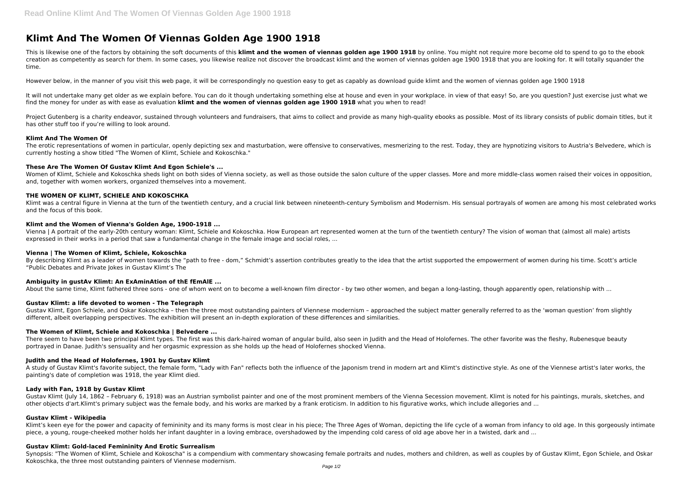# **Klimt And The Women Of Viennas Golden Age 1900 1918**

This is likewise one of the factors by obtaining the soft documents of this **klimt and the women of viennas golden age 1900 1918** by online. You might not require more become old to spend to go to the ebook creation as competently as search for them. In some cases, you likewise realize not discover the broadcast klimt and the women of viennas golden age 1900 1918 that you are looking for. It will totally squander the time.

It will not undertake many get older as we explain before. You can do it though undertaking something else at house and even in your workplace. in view of that easy! So, are you question? Just exercise just what we find the money for under as with ease as evaluation **klimt and the women of viennas golden age 1900 1918** what you when to read!

However below, in the manner of you visit this web page, it will be correspondingly no question easy to get as capably as download guide klimt and the women of viennas golden age 1900 1918

Project Gutenberg is a charity endeavor, sustained through volunteers and fundraisers, that aims to collect and provide as many high-quality ebooks as possible. Most of its library consists of public domain titles, but it has other stuff too if you're willing to look around.

The erotic representations of women in particular, openly depicting sex and masturbation, were offensive to conservatives, mesmerizing to the rest. Today, they are hypnotizing visitors to Austria's Belvedere, which is currently hosting a show titled "The Women of Klimt, Schiele and Kokoschka."

Women of Klimt, Schiele and Kokoschka sheds light on both sides of Vienna society, as well as those outside the salon culture of the upper classes. More and more middle-class women raised their voices in opposition, and, together with women workers, organized themselves into a movement.

## **Klimt And The Women Of**

By describing Klimt as a leader of women towards the "path to free - dom," Schmidt's assertion contributes greatly to the idea that the artist supported the empowerment of women during his time. Scott's article "Public Debates and Private Jokes in Gustav Klimt's The

## **These Are The Women Of Gustav Klimt And Egon Schiele's ...**

Gustav Klimt, Egon Schiele, and Oskar Kokoschka – then the three most outstanding painters of Viennese modernism – approached the subject matter generally referred to as the 'woman question' from slightly different, albeit overlapping perspectives. The exhibition will present an in-depth exploration of these differences and similarities.

There seem to have been two principal Klimt types. The first was this dark-haired woman of angular build, also seen in Judith and the Head of Holofernes. The other favorite was the fleshy, Rubenesque beauty portrayed in Danae. Judith's sensuality and her orgasmic expression as she holds up the head of Holofernes shocked Vienna.

# **THE WOMEN OF KLIMT, SCHIELE AND KOKOSCHKA**

Klimt was a central figure in Vienna at the turn of the twentieth century, and a crucial link between nineteenth-century Symbolism and Modernism. His sensual portrayals of women are among his most celebrated works and the focus of this book.

### **Klimt and the Women of Vienna's Golden Age, 1900-1918 ...**

Gustav Klimt (July 14, 1862 - February 6, 1918) was an Austrian symbolist painter and one of the most prominent members of the Vienna Secession movement. Klimt is noted for his paintings, murals, sketches, and other objects d'art.Klimt's primary subject was the female body, and his works are marked by a frank eroticism. In addition to his figurative works, which include allegories and ...

Vienna | A portrait of the early-20th century woman: Klimt, Schiele and Kokoschka. How European art represented women at the turn of the twentieth century? The vision of woman that (almost all male) artists expressed in their works in a period that saw a fundamental change in the female image and social roles, ...

### **Vienna | The Women of Klimt, Schiele, Kokoschka**

Synopsis: "The Women of Klimt, Schiele and Kokoscha" is a compendium with commentary showcasing female portraits and nudes, mothers and children, as well as couples by of Gustav Klimt, Egon Schiele, and Oskar Kokoschka, the three most outstanding painters of Viennese modernism.

# **Ambiguity in gustAv Klimt: An ExAminAtion of thE fEmAlE ...**

About the same time, Klimt fathered three sons - one of whom went on to become a well-known film director - by two other women, and began a long-lasting, though apparently open, relationship with ...

# **Gustav Klimt: a life devoted to women - The Telegraph**

### **The Women of Klimt, Schiele and Kokoschka | Belvedere ...**

### **Judith and the Head of Holofernes, 1901 by Gustav Klimt**

A study of Gustav Klimt's favorite subject, the female form, "Lady with Fan" reflects both the influence of the Japonism trend in modern art and Klimt's distinctive style. As one of the Viennese artist's later works, the painting's date of completion was 1918, the year Klimt died.

### **Lady with Fan, 1918 by Gustav Klimt**

### **Gustav Klimt - Wikipedia**

Klimt's keen eye for the power and capacity of femininity and its many forms is most clear in his piece; The Three Ages of Woman, depicting the life cycle of a woman from infancy to old age. In this gorgeously intimate piece, a young, rouge-cheeked mother holds her infant daughter in a loving embrace, overshadowed by the impending cold caress of old age above her in a twisted, dark and ...

### **Gustav Klimt: Gold-laced Femininity And Erotic Surrealism**